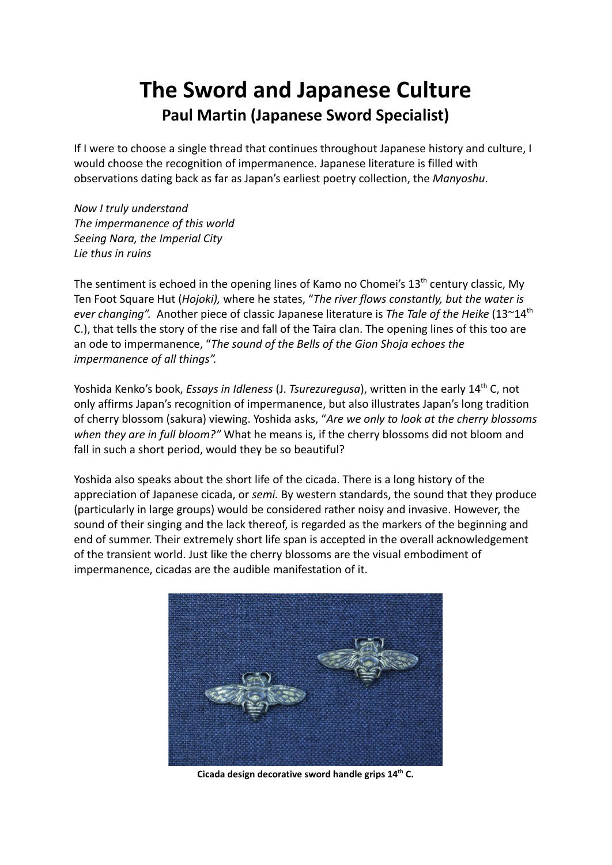## **The Sword and Japanese Culture Paul Martin (Japanese Sword Specialist)**

If I were to choose a single thread that continues throughout Japanese history and culture, I would choose the recognition of impermanence. Japanese literature is filled with observations dating back as far as Japan's earliest poetry collection, the *Manyoshu*.

*Now I truly understand The impermanence of this world Seeing Nara, the Imperial City Lie thus in ruins*

The sentiment is echoed in the opening lines of Kamo no Chomei's  $13<sup>th</sup>$  century classic, My Ten Foot Square Hut (*Hojoki),* where he states, "*The river flows constantly, but the water is ever changing".* Another piece of classic Japanese literature is *The Tale of the Heike* (13~14th C.), that tells the story of the rise and fall of the Taira clan. The opening lines of this too are an ode to impermanence, "*The sound of the Bells of the Gion Shoja echoes the impermanence of all things".*

Yoshida Kenko's book, *Essays in Idleness* (J. *Tsurezuregusa*), written in the early 14th C, not only affirms Japan's recognition of impermanence, but also illustrates Japan's long tradition of cherry blossom (sakura) viewing. Yoshida asks, "*Are we only to look at the cherry blossoms when they are in full bloom?"* What he means is, if the cherry blossoms did not bloom and fall in such a short period, would they be so beautiful?

Yoshida also speaks about the short life of the cicada. There is a long history of the appreciation of Japanese cicada, or *semi.* By western standards, the sound that they produce (particularly in large groups) would be considered rather noisy and invasive. However, the sound of their singing and the lack thereof, is regarded as the markers of the beginning and end of summer. Their extremely short life span is accepted in the overall acknowledgement of the transient world. Just like the cherry blossoms are the visual embodiment of impermanence, cicadas are the audible manifestation of it.



**Cicada design decorative sword handle grips 14 th C.**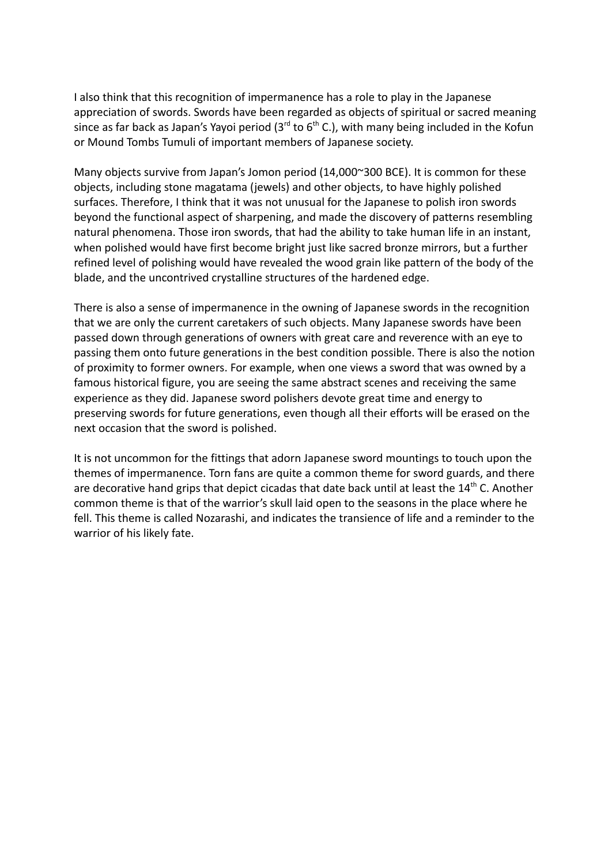I also think that this recognition of impermanence has a role to play in the Japanese appreciation of swords. Swords have been regarded as objects of spiritual or sacred meaning since as far back as Japan's Yayoi period (3<sup>rd</sup> to 6<sup>th</sup> C.), with many being included in the Kofun or Mound Tombs Tumuli of important members of Japanese society.

Many objects survive from Japan's Jomon period (14,000~300 BCE). It is common for these objects, including stone magatama (jewels) and other objects, to have highly polished surfaces. Therefore, I think that it was not unusual for the Japanese to polish iron swords beyond the functional aspect of sharpening, and made the discovery of patterns resembling natural phenomena. Those iron swords, that had the ability to take human life in an instant, when polished would have first become bright just like sacred bronze mirrors, but a further refined level of polishing would have revealed the wood grain like pattern of the body of the blade, and the uncontrived crystalline structures of the hardened edge.

There is also a sense of impermanence in the owning of Japanese swords in the recognition that we are only the current caretakers of such objects. Many Japanese swords have been passed down through generations of owners with great care and reverence with an eye to passing them onto future generations in the best condition possible. There is also the notion of proximity to former owners. For example, when one views a sword that was owned by a famous historical figure, you are seeing the same abstract scenes and receiving the same experience as they did. Japanese sword polishers devote great time and energy to preserving swords for future generations, even though all their efforts will be erased on the next occasion that the sword is polished.

It is not uncommon for the fittings that adorn Japanese sword mountings to touch upon the themes of impermanence. Torn fans are quite a common theme for sword guards, and there are decorative hand grips that depict cicadas that date back until at least the  $14<sup>th</sup>$  C. Another common theme is that of the warrior's skull laid open to the seasons in the place where he fell. This theme is called Nozarashi, and indicates the transience of life and a reminder to the warrior of his likely fate.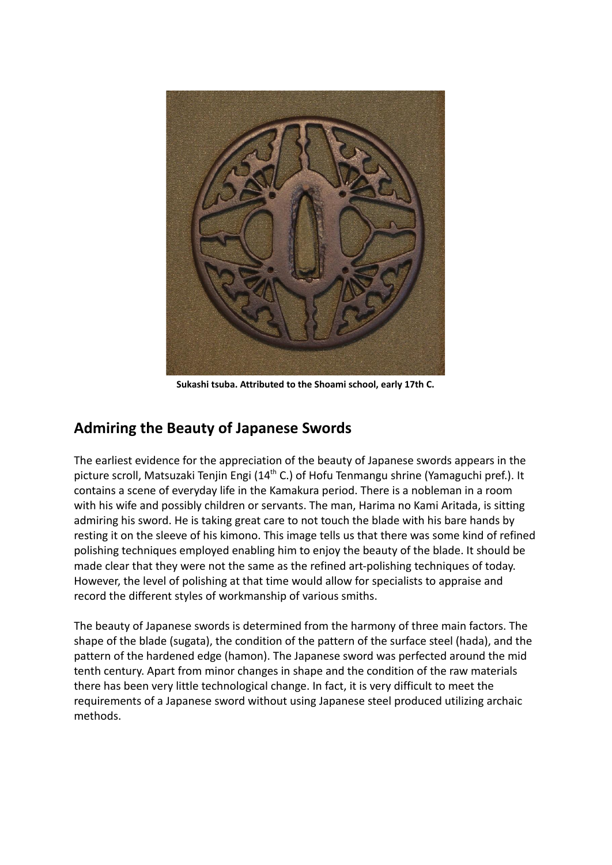

**Sukashi tsuba. Attributed to the Shoami school, early 17th C.**

## **Admiring the Beauty of Japanese Swords**

The earliest evidence for the appreciation of the beauty of Japanese swords appears in the picture scroll, Matsuzaki Tenjin Engi (14<sup>th</sup> C.) of Hofu Tenmangu shrine (Yamaguchi pref.). It contains a scene of everyday life in the Kamakura period. There is a nobleman in a room with his wife and possibly children or servants. The man, Harima no Kami Aritada, is sitting admiring his sword. He is taking great care to not touch the blade with his bare hands by resting it on the sleeve of his kimono. This image tells us that there was some kind of refined polishing techniques employed enabling him to enjoy the beauty of the blade. It should be made clear that they were not the same as the refined art-polishing techniques of today. However, the level of polishing at that time would allow for specialists to appraise and record the different styles of workmanship of various smiths.

The beauty of Japanese swords is determined from the harmony of three main factors. The shape of the blade (sugata), the condition of the pattern of the surface steel (hada), and the pattern of the hardened edge (hamon). The Japanese sword was perfected around the mid tenth century. Apart from minor changes in shape and the condition of the raw materials there has been very little technological change. In fact, it is very difficult to meet the requirements of a Japanese sword without using Japanese steel produced utilizing archaic methods.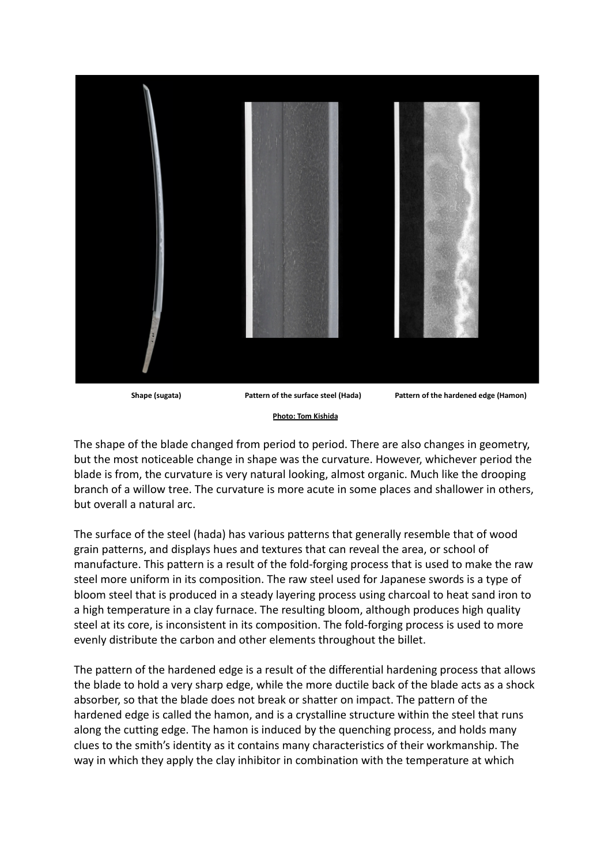

**Shape (sugata) Pattern of the surface steel (Hada) Pattern of the hardened edge (Hamon)**

## **Photo: Tom Kishida**

The shape of the blade changed from period to period. There are also changes in geometry, but the most noticeable change in shape was the curvature. However, whichever period the blade is from, the curvature is very natural looking, almost organic. Much like the drooping branch of a willow tree. The curvature is more acute in some places and shallower in others, but overall a natural arc.

The surface of the steel (hada) has various patterns that generally resemble that of wood grain patterns, and displays hues and textures that can reveal the area, or school of manufacture. This pattern is a result of the fold-forging process that is used to make the raw steel more uniform in its composition. The raw steel used for Japanese swords is a type of bloom steel that is produced in a steady layering process using charcoal to heat sand iron to a high temperature in a clay furnace. The resulting bloom, although produces high quality steel at its core, is inconsistent in its composition. The fold-forging process is used to more evenly distribute the carbon and other elements throughout the billet.

The pattern of the hardened edge is a result of the differential hardening process that allows the blade to hold a very sharp edge, while the more ductile back of the blade acts as a shock absorber, so that the blade does not break or shatter on impact. The pattern of the hardened edge is called the hamon, and is a crystalline structure within the steel that runs along the cutting edge. The hamon is induced by the quenching process, and holds many clues to the smith's identity as it contains many characteristics of their workmanship. The way in which they apply the clay inhibitor in combination with the temperature at which